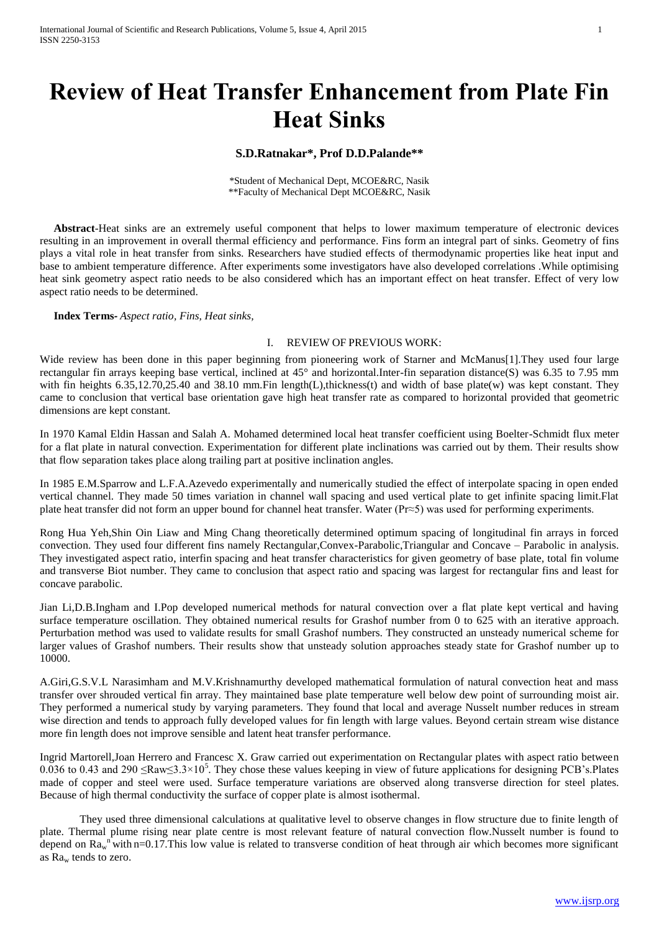# **Review of Heat Transfer Enhancement from Plate Fin Heat Sinks**

## **S.D.Ratnakar\*, Prof D.D.Palande\*\***

\*Student of Mechanical Dept, MCOE&RC, Nasik \*\*Faculty of Mechanical Dept MCOE&RC, Nasik

 **Abstract**-Heat sinks are an extremely useful component that helps to lower maximum temperature of electronic devices resulting in an improvement in overall thermal efficiency and performance. Fins form an integral part of sinks. Geometry of fins plays a vital role in heat transfer from sinks. Researchers have studied effects of thermodynamic properties like heat input and base to ambient temperature difference. After experiments some investigators have also developed correlations .While optimising heat sink geometry aspect ratio needs to be also considered which has an important effect on heat transfer. Effect of very low aspect ratio needs to be determined.

 **Index Terms***- Aspect ratio, Fins, Heat sinks,*

### I. REVIEW OF PREVIOUS WORK:

Wide review has been done in this paper beginning from pioneering work of Starner and McManus[1]. They used four large rectangular fin arrays keeping base vertical, inclined at 45° and horizontal.Inter-fin separation distance(S) was 6.35 to 7.95 mm with fin heights 6.35,12.70,25.40 and 38.10 mm. Fin length(L), thickness(t) and width of base plate(w) was kept constant. They came to conclusion that vertical base orientation gave high heat transfer rate as compared to horizontal provided that geometric dimensions are kept constant.

In 1970 Kamal Eldin Hassan and Salah A. Mohamed determined local heat transfer coefficient using Boelter-Schmidt flux meter for a flat plate in natural convection. Experimentation for different plate inclinations was carried out by them. Their results show that flow separation takes place along trailing part at positive inclination angles.

In 1985 E.M.Sparrow and L.F.A.Azevedo experimentally and numerically studied the effect of interpolate spacing in open ended vertical channel. They made 50 times variation in channel wall spacing and used vertical plate to get infinite spacing limit.Flat plate heat transfer did not form an upper bound for channel heat transfer. Water (Pr≈5) was used for performing experiments.

Rong Hua Yeh,Shin Oin Liaw and Ming Chang theoretically determined optimum spacing of longitudinal fin arrays in forced convection. They used four different fins namely Rectangular,Convex-Parabolic,Triangular and Concave – Parabolic in analysis. They investigated aspect ratio, interfin spacing and heat transfer characteristics for given geometry of base plate, total fin volume and transverse Biot number. They came to conclusion that aspect ratio and spacing was largest for rectangular fins and least for concave parabolic.

Jian Li,D.B.Ingham and I.Pop developed numerical methods for natural convection over a flat plate kept vertical and having surface temperature oscillation. They obtained numerical results for Grashof number from 0 to 625 with an iterative approach. Perturbation method was used to validate results for small Grashof numbers. They constructed an unsteady numerical scheme for larger values of Grashof numbers. Their results show that unsteady solution approaches steady state for Grashof number up to 10000.

A.Giri,G.S.V.L Narasimham and M.V.Krishnamurthy developed mathematical formulation of natural convection heat and mass transfer over shrouded vertical fin array. They maintained base plate temperature well below dew point of surrounding moist air. They performed a numerical study by varying parameters. They found that local and average Nusselt number reduces in stream wise direction and tends to approach fully developed values for fin length with large values. Beyond certain stream wise distance more fin length does not improve sensible and latent heat transfer performance.

Ingrid Martorell,Joan Herrero and Francesc X. Graw carried out experimentation on Rectangular plates with aspect ratio between 0.036 to 0.43 and 290  $\leq$ Raw $\leq$ 3.3×10<sup>5</sup>. They chose these values keeping in view of future applications for designing PCB's.Plates made of copper and steel were used. Surface temperature variations are observed along transverse direction for steel plates. Because of high thermal conductivity the surface of copper plate is almost isothermal.

They used three dimensional calculations at qualitative level to observe changes in flow structure due to finite length of plate. Thermal plume rising near plate centre is most relevant feature of natural convection flow.Nusselt number is found to depend on  $Ra_w^n$  with n=0.17. This low value is related to transverse condition of heat through air which becomes more significant as Ra<sup>w</sup> tends to zero.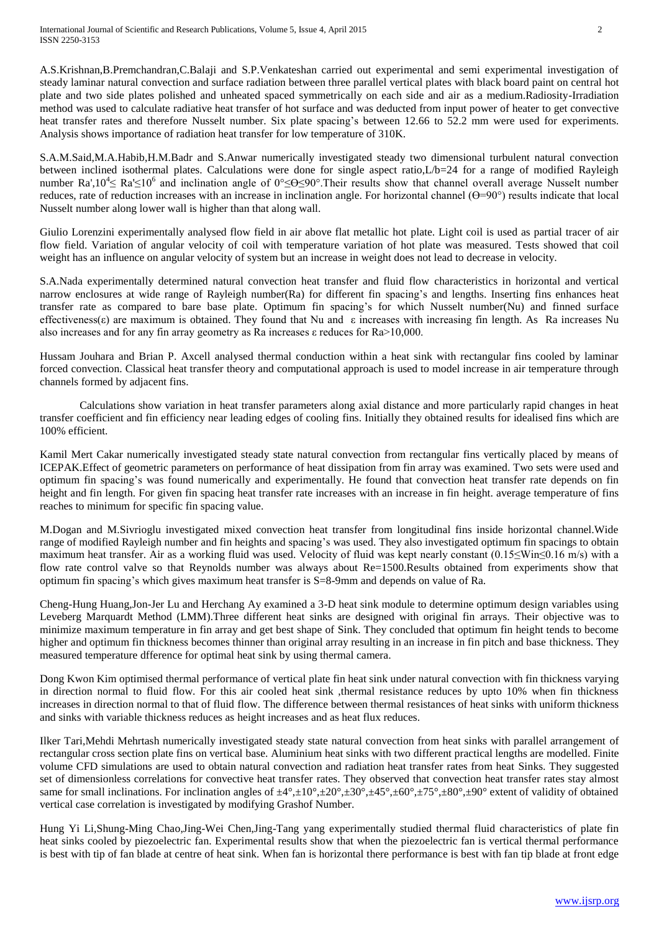A.S.Krishnan,B.Premchandran,C.Balaji and S.P.Venkateshan carried out experimental and semi experimental investigation of steady laminar natural convection and surface radiation between three parallel vertical plates with black board paint on central hot plate and two side plates polished and unheated spaced symmetrically on each side and air as a medium.Radiosity-Irradiation method was used to calculate radiative heat transfer of hot surface and was deducted from input power of heater to get convective heat transfer rates and therefore Nusselt number. Six plate spacing's between 12.66 to 52.2 mm were used for experiments. Analysis shows importance of radiation heat transfer for low temperature of 310K.

S.A.M.Said,M.A.Habib,H.M.Badr and S.Anwar numerically investigated steady two dimensional turbulent natural convection between inclined isothermal plates. Calculations were done for single aspect ratio,L/b=24 for a range of modified Rayleigh number Ra',10<sup>4</sup> $\leq$  Ra' $\leq$ 10<sup>6</sup> and inclination angle of 0° $\leq \theta \leq$ 90°. Their results show that channel overall average Nusselt number reduces, rate of reduction increases with an increase in inclination angle. For horizontal channel  $(\theta = 90^{\circ})$  results indicate that local Nusselt number along lower wall is higher than that along wall.

Giulio Lorenzini experimentally analysed flow field in air above flat metallic hot plate. Light coil is used as partial tracer of air flow field. Variation of angular velocity of coil with temperature variation of hot plate was measured. Tests showed that coil weight has an influence on angular velocity of system but an increase in weight does not lead to decrease in velocity.

S.A.Nada experimentally determined natural convection heat transfer and fluid flow characteristics in horizontal and vertical narrow enclosures at wide range of Rayleigh number(Ra) for different fin spacing's and lengths. Inserting fins enhances heat transfer rate as compared to bare base plate. Optimum fin spacing's for which Nusselt number(Nu) and finned surface effectiveness(ε) are maximum is obtained. They found that Nu and  $\varepsilon$  increases with increasing fin length. As Ra increases Nu also increases and for any fin array geometry as Ra increases  $ε$  reduces for Ra $>$ 10,000.

Hussam Jouhara and Brian P. Axcell analysed thermal conduction within a heat sink with rectangular fins cooled by laminar forced convection. Classical heat transfer theory and computational approach is used to model increase in air temperature through channels formed by adjacent fins.

Calculations show variation in heat transfer parameters along axial distance and more particularly rapid changes in heat transfer coefficient and fin efficiency near leading edges of cooling fins. Initially they obtained results for idealised fins which are 100% efficient.

Kamil Mert Cakar numerically investigated steady state natural convection from rectangular fins vertically placed by means of ICEPAK.Effect of geometric parameters on performance of heat dissipation from fin array was examined. Two sets were used and optimum fin spacing's was found numerically and experimentally. He found that convection heat transfer rate depends on fin height and fin length. For given fin spacing heat transfer rate increases with an increase in fin height. average temperature of fins reaches to minimum for specific fin spacing value.

M.Dogan and M.Sivrioglu investigated mixed convection heat transfer from longitudinal fins inside horizontal channel.Wide range of modified Rayleigh number and fin heights and spacing's was used. They also investigated optimum fin spacings to obtain maximum heat transfer. Air as a working fluid was used. Velocity of fluid was kept nearly constant (0.15≤Win≤0.16 m/s) with a flow rate control valve so that Reynolds number was always about Re=1500.Results obtained from experiments show that optimum fin spacing's which gives maximum heat transfer is S=8-9mm and depends on value of Ra.

Cheng-Hung Huang,Jon-Jer Lu and Herchang Ay examined a 3-D heat sink module to determine optimum design variables using Leveberg Marquardt Method (LMM).Three different heat sinks are designed with original fin arrays. Their objective was to minimize maximum temperature in fin array and get best shape of Sink. They concluded that optimum fin height tends to become higher and optimum fin thickness becomes thinner than original array resulting in an increase in fin pitch and base thickness. They measured temperature dfference for optimal heat sink by using thermal camera.

Dong Kwon Kim optimised thermal performance of vertical plate fin heat sink under natural convection with fin thickness varying in direction normal to fluid flow. For this air cooled heat sink ,thermal resistance reduces by upto 10% when fin thickness increases in direction normal to that of fluid flow. The difference between thermal resistances of heat sinks with uniform thickness and sinks with variable thickness reduces as height increases and as heat flux reduces.

Ilker Tari,Mehdi Mehrtash numerically investigated steady state natural convection from heat sinks with parallel arrangement of rectangular cross section plate fins on vertical base. Aluminium heat sinks with two different practical lengths are modelled. Finite volume CFD simulations are used to obtain natural convection and radiation heat transfer rates from heat Sinks. They suggested set of dimensionless correlations for convective heat transfer rates. They observed that convection heat transfer rates stay almost same for small inclinations. For inclination angles of  $\pm 4^{\circ}, \pm 10^{\circ}, \pm 20^{\circ}, \pm 30^{\circ}, \pm 5^{\circ}, \pm 60^{\circ}, \pm 75^{\circ}, \pm 80^{\circ}, \pm 90^{\circ}$  extent of validity of obtained vertical case correlation is investigated by modifying Grashof Number.

Hung Yi Li,Shung-Ming Chao,Jing-Wei Chen,Jing-Tang yang experimentally studied thermal fluid characteristics of plate fin heat sinks cooled by piezoelectric fan. Experimental results show that when the piezoelectric fan is vertical thermal performance is best with tip of fan blade at centre of heat sink. When fan is horizontal there performance is best with fan tip blade at front edge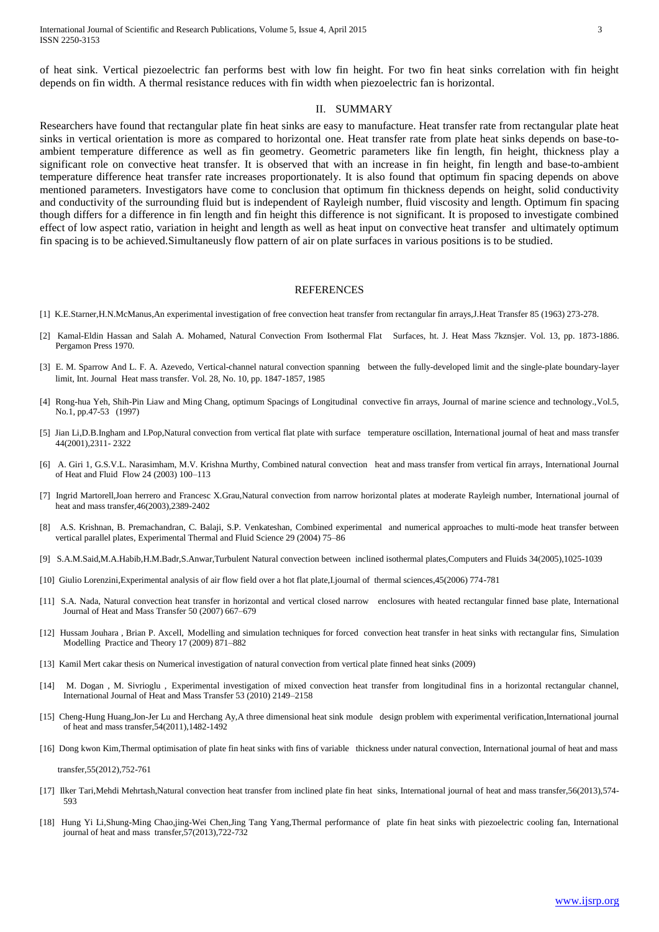of heat sink. Vertical piezoelectric fan performs best with low fin height. For two fin heat sinks correlation with fin height depends on fin width. A thermal resistance reduces with fin width when piezoelectric fan is horizontal.

#### II. SUMMARY

Researchers have found that rectangular plate fin heat sinks are easy to manufacture. Heat transfer rate from rectangular plate heat sinks in vertical orientation is more as compared to horizontal one. Heat transfer rate from plate heat sinks depends on base-toambient temperature difference as well as fin geometry. Geometric parameters like fin length, fin height, thickness play a significant role on convective heat transfer. It is observed that with an increase in fin height, fin length and base-to-ambient temperature difference heat transfer rate increases proportionately. It is also found that optimum fin spacing depends on above mentioned parameters. Investigators have come to conclusion that optimum fin thickness depends on height, solid conductivity and conductivity of the surrounding fluid but is independent of Rayleigh number, fluid viscosity and length. Optimum fin spacing though differs for a difference in fin length and fin height this difference is not significant. It is proposed to investigate combined effect of low aspect ratio, variation in height and length as well as heat input on convective heat transfer and ultimately optimum fin spacing is to be achieved.Simultaneusly flow pattern of air on plate surfaces in various positions is to be studied.

#### **REFERENCES**

- [1] K.E.Starner,H.N.McManus,An experimental investigation of free convection heat transfer from rectangular fin arrays,J.Heat Transfer 85 (1963) 273-278.
- [2] Kamal-Eldin Hassan and Salah A. Mohamed, Natural Convection From Isothermal Flat Surfaces, ht. J. Heat Mass 7kznsjer. Vol. 13, pp. 1873-1886. Pergamon Press 1970.
- [3] E. M. Sparrow And L. F. A. Azevedo, Vertical-channel natural convection spanning between the fully-developed limit and the single-plate boundary-layer limit, Int. Journal Heat mass transfer. Vol. 28, No. 10, pp. 1847-1857, 1985
- [4] Rong-hua Yeh, Shih-Pin Liaw and Ming Chang, optimum Spacings of Longitudinal convective fin arrays, Journal of marine science and technology.,Vol.5, No.1, pp.47-53 (1997)
- [5] Jian Li,D.B.Ingham and I.Pop,Natural convection from vertical flat plate with surface temperature oscillation, International journal of heat and mass transfer 44(2001),2311- 2322
- [6] A. Giri 1, G.S.V.L. Narasimham, M.V. Krishna Murthy, Combined natural convection heat and mass transfer from vertical fin arrays, International Journal of Heat and Fluid Flow 24 (2003) 100–113
- [7] Ingrid Martorell,Joan herrero and Francesc X.Grau,Natural convection from narrow horizontal plates at moderate Rayleigh number, International journal of heat and mass transfer, 46(2003), 2389-2402
- [8] A.S. Krishnan, B. Premachandran, C. Balaji, S.P. Venkateshan, Combined experimental and numerical approaches to multi-mode heat transfer between vertical parallel plates, Experimental Thermal and Fluid Science 29 (2004) 75–86
- [9] S.A.M.Said,M.A.Habib,H.M.Badr,S.Anwar,Turbulent Natural convection between inclined isothermal plates,Computers and Fluids 34(2005),1025-1039
- [10] Giulio Lorenzini,Experimental analysis of air flow field over a hot flat plate,I.journal of thermal sciences,45(2006) 774-781
- [11] S.A. Nada, Natural convection heat transfer in horizontal and vertical closed narrow enclosures with heated rectangular finned base plate, International Journal of Heat and Mass Transfer 50 (2007) 667–679
- [12] Hussam Jouhara , Brian P. Axcell, Modelling and simulation techniques for forced convection heat transfer in heat sinks with rectangular fins, Simulation Modelling Practice and Theory 17 (2009) 871–882
- [13] Kamil Mert cakar thesis on Numerical investigation of natural convection from vertical plate finned heat sinks (2009)
- [14] M. Dogan , M. Sivrioglu , Experimental investigation of mixed convection heat transfer from longitudinal fins in a horizontal rectangular channel, International Journal of Heat and Mass Transfer 53 (2010) 2149–2158
- [15] Cheng-Hung Huang,Jon-Jer Lu and Herchang Ay,A three dimensional heat sink module design problem with experimental verification,International journal of heat and mass transfer,54(2011),1482-1492
- [16] Dong kwon Kim,Thermal optimisation of plate fin heat sinks with fins of variable thickness under natural convection, International journal of heat and mass

transfer,55(2012),752-761

- [17] Ilker Tari,Mehdi Mehrtash,Natural convection heat transfer from inclined plate fin heat sinks, International journal of heat and mass transfer,56(2013),574- 593
- [18] Hung Yi Li,Shung-Ming Chao,jing-Wei Chen,Jing Tang Yang,Thermal performance of plate fin heat sinks with piezoelectric cooling fan, International journal of heat and mass transfer,57(2013),722-732